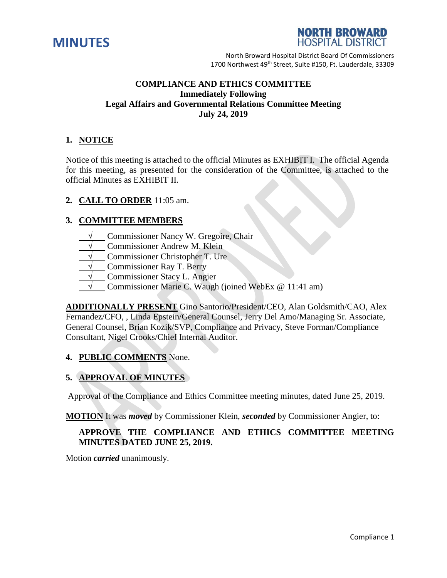



## **COMPLIANCE AND ETHICS COMMITTEE Immediately Following Legal Affairs and Governmental Relations Committee Meeting July 24, 2019**

# **1. NOTICE**

Notice of this meeting is attached to the official Minutes as EXHIBIT I. The official Agenda for this meeting, as presented for the consideration of the Committee, is attached to the official Minutes as EXHIBIT II.

## **2. CALL TO ORDER** 11:05 am.

## **3. COMMITTEE MEMBERS**

- **Commissioner Nancy W. Gregoire, Chair**
- **Commissioner Andrew M. Klein**
- **Commissioner Christopher T. Ure**
- **Commissioner Ray T. Berry**
- **Commissioner Stacy L. Angier**
- Commissioner Marie C. Waugh (joined WebEx @ 11:41 am)

**ADDITIONALLY PRESENT** Gino Santorio/President/CEO, Alan Goldsmith/CAO, Alex Fernandez/CFO, , Linda Epstein/General Counsel, Jerry Del Amo/Managing Sr. Associate, General Counsel, Brian Kozik/SVP, Compliance and Privacy, Steve Forman/Compliance Consultant, Nigel Crooks/Chief Internal Auditor.

### **4. PUBLIC COMMENTS** None.

# **5. APPROVAL OF MINUTES**

Approval of the Compliance and Ethics Committee meeting minutes, dated June 25, 2019.

**MOTION** It was *moved* by Commissioner Klein, *seconded* by Commissioner Angier, to:

## **APPROVE THE COMPLIANCE AND ETHICS COMMITTEE MEETING MINUTES DATED JUNE 25, 2019.**

Motion *carried* unanimously.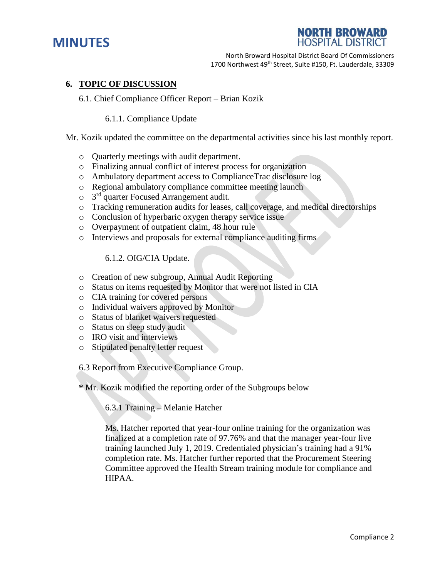



### **6. TOPIC OF DISCUSSION**

#### 6.1. Chief Compliance Officer Report – Brian Kozik

#### 6.1.1. Compliance Update

#### Mr. Kozik updated the committee on the departmental activities since his last monthly report.

- o Quarterly meetings with audit department.
- o Finalizing annual conflict of interest process for organization
- o Ambulatory department access to ComplianceTrac disclosure log
- o Regional ambulatory compliance committee meeting launch
- $\circ$  3<sup>rd</sup> quarter Focused Arrangement audit.
- o Tracking remuneration audits for leases, call coverage, and medical directorships
- o Conclusion of hyperbaric oxygen therapy service issue
- o Overpayment of outpatient claim, 48 hour rule
- o Interviews and proposals for external compliance auditing firms

#### 6.1.2. OIG/CIA Update.

- o Creation of new subgroup, Annual Audit Reporting
- o Status on items requested by Monitor that were not listed in CIA
- o CIA training for covered persons
- o Individual waivers approved by Monitor
- o Status of blanket waivers requested
- o Status on sleep study audit
- o IRO visit and interviews
- o Stipulated penalty letter request

### 6.3 Report from Executive Compliance Group.

**\*** Mr. Kozik modified the reporting order of the Subgroups below

6.3.1 Training – Melanie Hatcher

Ms. Hatcher reported that year-four online training for the organization was finalized at a completion rate of 97.76% and that the manager year-four live training launched July 1, 2019. Credentialed physician's training had a 91% completion rate. Ms. Hatcher further reported that the Procurement Steering Committee approved the Health Stream training module for compliance and HIPAA.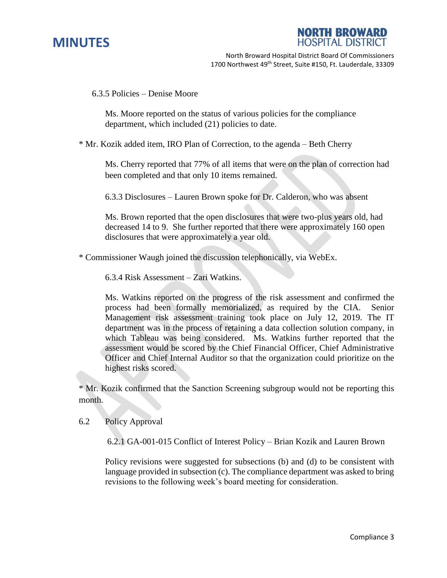



6.3.5 Policies – Denise Moore

Ms. Moore reported on the status of various policies for the compliance department, which included (21) policies to date.

\* Mr. Kozik added item, IRO Plan of Correction, to the agenda – Beth Cherry

Ms. Cherry reported that 77% of all items that were on the plan of correction had been completed and that only 10 items remained.

6.3.3 Disclosures – Lauren Brown spoke for Dr. Calderon, who was absent

Ms. Brown reported that the open disclosures that were two-plus years old, had decreased 14 to 9. She further reported that there were approximately 160 open disclosures that were approximately a year old.

\* Commissioner Waugh joined the discussion telephonically, via WebEx.

6.3.4 Risk Assessment – Zari Watkins.

Ms. Watkins reported on the progress of the risk assessment and confirmed the process had been formally memorialized, as required by the CIA. Senior Management risk assessment training took place on July 12, 2019. The IT department was in the process of retaining a data collection solution company, in which Tableau was being considered. Ms. Watkins further reported that the assessment would be scored by the Chief Financial Officer, Chief Administrative Officer and Chief Internal Auditor so that the organization could prioritize on the highest risks scored.

\* Mr. Kozik confirmed that the Sanction Screening subgroup would not be reporting this month.

6.2 Policy Approval

6.2.1 GA-001-015 Conflict of Interest Policy – Brian Kozik and Lauren Brown

Policy revisions were suggested for subsections (b) and (d) to be consistent with language provided in subsection (c). The compliance department was asked to bring revisions to the following week's board meeting for consideration.